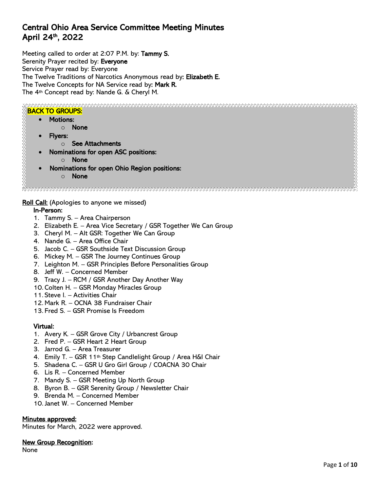# Central Ohio Area Service Committee Meeting Minutes April 24th, 2022

Meeting called to order at 2:07 P.M. by: Tammy S. Serenity Prayer recited by: Everyone Service Prayer read by: Everyone The Twelve Traditions of Narcotics Anonymous read by: Elizabeth E. The Twelve Concepts for NA Service read by: Mark R. The 4th Concept read by: Nande G. & Cheryl M.

### BACK TO GROUPS:

### • Motions:

- o None
- Flyers:

REAR AN AN SAN AN SAN

- o See Attachments
- Nominations for open ASC positions:
	- o None
- Nominations for open Ohio Region positions: o None

### Roll Call: (Apologies to anyone we missed)

### In-Person:

- 1. Tammy S. Area Chairperson
- 2. Elizabeth E. Area Vice Secretary / GSR Together We Can Group

- 3. Cheryl M. Alt GSR: Together We Can Group
- 4. Nande G. Area Office Chair
- 5. Jacob C. GSR Southside Text Discussion Group
- 6. Mickey M. GSR The Journey Continues Group
- 7. Leighton M. GSR Principles Before Personalities Group
- 8. Jeff W. Concerned Member
- 9. Tracy J. RCM / GSR Another Day Another Way
- 10. Colten H. GSR Monday Miracles Group
- 11. Steve l. Activities Chair
- 12. Mark R. OCNA 38 Fundraiser Chair
- 13. Fred S. GSR Promise Is Freedom

### Virtual:

- 1. Avery K. GSR Grove City / Urbancrest Group
- 2. Fred P. GSR Heart 2 Heart Group
- 3. Jarrod G. Area Treasurer
- 4. Emily T. GSR 11th Step Candlelight Group / Area H&I Chair
- 5. Shadena C. GSR U Gro Girl Group / COACNA 30 Chair
- 6. Lis R. Concerned Member
- 7. Mandy S. GSR Meeting Up North Group
- 8. Byron B. GSR Serenity Group / Newsletter Chair
- 9. Brenda M. Concerned Member
- 10. Janet W. Concerned Member

### Minutes approved:

Minutes for March, 2022 were approved.

### New Group Recognition:

None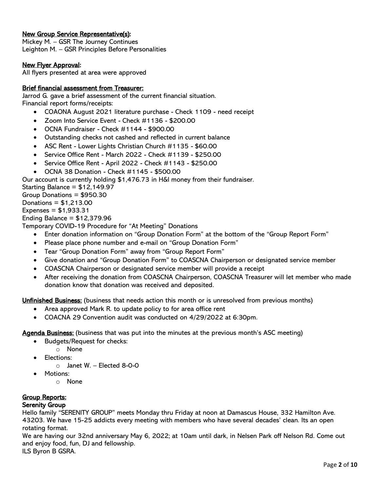### New Group Service Representative(s):

Mickey M. – GSR The Journey Continues Leighton M. – GSR Principles Before Personalities

#### New Flyer Approval:

All flyers presented at area were approved

#### Brief financial assessment from Treasurer:

Jarrod G. gave a brief assessment of the current financial situation. Financial report forms/receipts:

- COAONA August 2021 literature purchase Check 1109 need receipt
- Zoom Into Service Event Check #1136 \$200.00
- OCNA Fundraiser Check #1144 \$900.00
- Outstanding checks not cashed and reflected in current balance
- ASC Rent Lower Lights Christian Church #1135 \$60.00
- Service Office Rent March 2022 Check #1139 \$250.00
- Service Office Rent April 2022 Check #1143 \$250.00
- OCNA 38 Donation Check #1145 \$500.00

Our account is currently holding \$1,476.73 in H&I money from their fundraiser.

Starting Balance =  $$12,149.97$ 

Group Donations = \$950.30

Donations = \$1,213.00

Expenses =  $$1,933.31$ 

Ending Balance  $= $12,379.96$ 

Temporary COVID-19 Procedure for "At Meeting" Donations

- Enter donation information on "Group Donation Form" at the bottom of the "Group Report Form"
- Please place phone number and e-mail on "Group Donation Form"
- Tear "Group Donation Form" away from "Group Report Form"
- Give donation and "Group Donation Form" to COASCNA Chairperson or designated service member
- COASCNA Chairperson or designated service member will provide a receipt
- After receiving the donation from COASCNA Chairperson, COASCNA Treasurer will let member who made donation know that donation was received and deposited.

Unfinished Business: (business that needs action this month or is unresolved from previous months)

- Area approved Mark R. to update policy to for area office rent
- COACNA 29 Convention audit was conducted on 4/29/2022 at 6:30pm.

Agenda Business: (business that was put into the minutes at the previous month's ASC meeting)

- Budgets/Request for checks:
	- o None
	- Elections:
		- $\circ$  Janet W. Elected 8-0-0
- Motions:
	- o None

#### Group Reports: Serenity Group

Hello family "SERENITY GROUP" meets Monday thru Friday at noon at Damascus House, 332 Hamilton Ave. 43203. We have 15-25 addicts every meeting with members who have several decades' clean. Its an open rotating format.

We are having our 32nd anniversary May 6, 2022; at 10am until dark, in Nelsen Park off Nelson Rd. Come out and enjoy food, fun, DJ and fellowship.

ILS Byron B GSRA.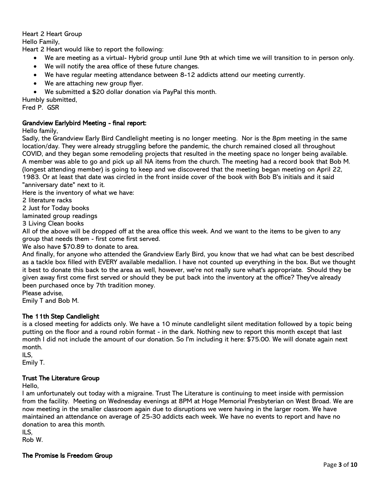Heart 2 Heart Group

Hello Family,

Heart 2 Heart would like to report the following:

- We are meeting as a virtual- Hybrid group until June 9th at which time we will transition to in person only.
- We will notify the area office of these future changes.
- We have regular meeting attendance between 8-12 addicts attend our meeting currently.
- We are attaching new group flyer.
- We submitted a \$20 dollar donation via PayPal this month.

Humbly submitted,

Fred P. GSR

#### Grandview Earlybird Meeting - final report:

Hello family,

Sadly, the Grandview Early Bird Candlelight meeting is no longer meeting. Nor is the 8pm meeting in the same location/day. They were already struggling before the pandemic, the church remained closed all throughout COVID, and they began some remodeling projects that resulted in the meeting space no longer being available. A member was able to go and pick up all NA items from the church. The meeting had a record book that Bob M. (longest attending member) is going to keep and we discovered that the meeting began meeting on April 22, 1983. Or at least that date was circled in the front inside cover of the book with Bob B's initials and it said "anniversary date" next to it.

Here is the inventory of what we have:

2 literature racks

2 Just for Today books

laminated group readings

3 Living Clean books

All of the above will be dropped off at the area office this week. And we want to the items to be given to any group that needs them - first come first served.

We also have \$70.89 to donate to area.

And finally, for anyone who attended the Grandview Early Bird, you know that we had what can be best described as a tackle box filled with EVERY available medallion. I have not counted up everything in the box. But we thought it best to donate this back to the area as well, however, we're not really sure what's appropriate. Should they be given away first come first served or should they be put back into the inventory at the office? They've already been purchased once by 7th tradition money.

Please advise,

Emily T and Bob M.

#### The 11th Step Candlelight

is a closed meeting for addicts only. We have a 10 minute candlelight silent meditation followed by a topic being putting on the floor and a round robin format - in the dark. Nothing new to report this month except that last month I did not include the amount of our donation. So I'm including it here: \$75.00. We will donate again next month.

ILS,

Emily T.

#### Trust The Literature Group

Hello,

I am unfortunately out today with a migraine. Trust The Literature is continuing to meet inside with permission from the facility. Meeting on Wednesday evenings at 8PM at Hoge Memorial Presbyterian on West Broad. We are now meeting in the smaller classroom again due to disruptions we were having in the larger room. We have maintained an attendance on average of 25-30 addicts each week. We have no events to report and have no donation to area this month.

 $II$  S.

Rob W.

#### The Promise Is Freedom Group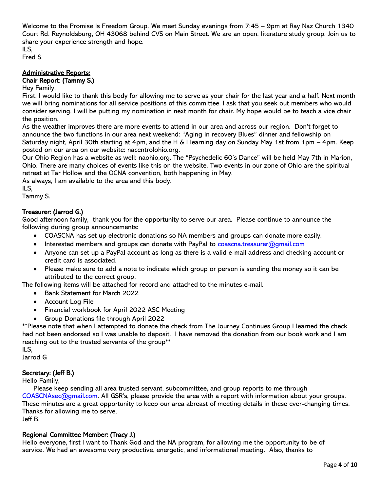Welcome to the Promise Is Freedom Group. We meet Sunday evenings from 7:45 – 9pm at Ray Naz Church 1340 Court Rd. Reynoldsburg, OH 43068 behind CVS on Main Street. We are an open, literature study group. Join us to share your experience strength and hope.

ILS, Fred S.

### Administrative Reports:

### Chair Report: (Tammy S.)

Hey Family,

First, I would like to thank this body for allowing me to serve as your chair for the last year and a half. Next month we will bring nominations for all service positions of this committee. I ask that you seek out members who would consider serving. I will be putting my nomination in next month for chair. My hope would be to teach a vice chair the position.

As the weather improves there are more events to attend in our area and across our region. Don't forget to announce the two functions in our area next weekend: "Aging in recovery Blues" dinner and fellowship on Saturday night, April 30th starting at 4pm, and the H & I learning day on Sunday May 1st from 1pm – 4pm. Keep posted on our area on our website: nacentrolohio.org.

Our Ohio Region has a website as well: naohio,org. The "Psychedelic 60's Dance" will be held May 7th in Marion, Ohio. There are many choices of events like this on the website. Two events in our zone of Ohio are the spiritual retreat at Tar Hollow and the OCNA convention, both happening in May.

As always, I am available to the area and this body.

ILS,

Tammy S.

### Treasurer: (Jarrod G.)

Good afternoon family, thank you for the opportunity to serve our area. Please continue to announce the following during group announcements:

- COASCNA has set up electronic donations so NA members and groups can donate more easily.
- Interested members and groups can donate with PayPal to coascna.treasurer@gmail.com
- Anyone can set up a PayPal account as long as there is a valid e-mail address and checking account or credit card is associated.
- Please make sure to add a note to indicate which group or person is sending the money so it can be attributed to the correct group.

The following items will be attached for record and attached to the minutes e-mail.

- Bank Statement for March 2022
- Account Log File
- Financial workbook for April 2022 ASC Meeting
- Group Donations file through April 2022

\*\*Please note that when I attempted to donate the check from The Journey Continues Group I learned the check had not been endorsed so I was unable to deposit. I have removed the donation from our book work and I am reaching out to the trusted servants of the group\*\*

ILS,

Jarrod G

### Secretary: (Jeff B.)

Hello Family,

Please keep sending all area trusted servant, subcommittee, and group reports to me through COASCNAsec@gmail.com. All GSR's, please provide the area with a report with information about your groups. These minutes are a great opportunity to keep our area abreast of meeting details in these ever-changing times. Thanks for allowing me to serve, Jeff B.

### Regional Committee Member: (Tracy J.)

Hello everyone, first I want to Thank God and the NA program, for allowing me the opportunity to be of service. We had an awesome very productive, energetic, and informational meeting. Also, thanks to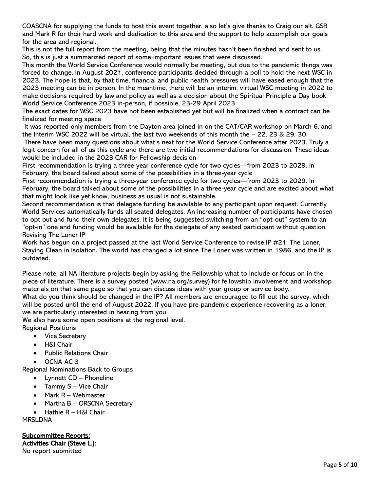COASCNA for supplying the funds to host this event together, also let's give thanks to Craig our alt. GSR and Mark R for their hard work and dedication to this area and the support to help accomplish our goals for the area and regional.

This is not the full report from the meeting, being that the minutes hasn't been finished and sent to us. So, this is just a summarized report of some important issues that were discussed.

This month the World Service Conference would normally be meeting, but due to the pandemic things was forced to change. In August 2021, conference participants decided through a poll to hold the next WSC in 2023. The hope is that, by that time, financial and public health pressures will have eased enough that the 2023 meeting can be in person. In the meantime, there will be an interim, virtual WSC meeting in 2022 to make decisions required by law and policy as well as a decision about the Spiritual Principle a Day book. World Service Conference 2023 in-person, if possible, 23-29 April 2023

The exact dates for WSC 2023 have not been established yet but will be finalized when a contract can be finalized for meeting space

It was reported only members from the Dayton area joined in on the CAT/CAR workshop on March 6, and the Interim WSC 2022 will be virtual, the last two weekends of this month the  $-22$ , 23 & 29, 30.

There have been many questions about what's next for the World Service Conference after 2023. Truly a legit concern for all of us this cycle and there are two initial recommendations for discussion. These ideas would be included in the 2023 CAR for Fellowship decision

First recommendation is trying a three-year conference cycle for two cycles—from 2023 to 2029. In February, the board talked about some of the possibilities in a three-year cycle

First recommendation is trying a three-year conference cycle for two cycles—from 2023 to 2029. In February, the board talked about some of the possibilities in a three-year cycle and are excited about what that might look like yet know, business as usual is not sustainable.

Second recommendation is that delegate funding be available to any participant upon request. Currently World Services automatically funds all seated delegates. An increasing number of participants have chosen to opt out and fund their own delegates. It is being suggested switching from an "opt-out" system to an "opt-in" one and funding would be available for the delegate of any seated participant without question. Revising The Loner IP

Work has begun on a project passed at the last World Service Conference to revise IP #21: The Loner, Staying Clean in Isolation. The world has changed a lot since The Loner was written in 1986, and the IP is outdated.

Please note, all NA literature projects begin by asking the Fellowship what to include or focus on in the piece of literature. There is a survey posted (www.na.org/survey) for fellowship involvement and workshop materials on that same page so that you can discuss ideas with your group or service body.

What do you think should be changed in the IP? All members are encouraged to fill out the survey, which will be posted until the end of August 2022. If you have pre-pandemic experience recovering as a loner, we are particularly interested in hearing from you.

We also have some open positions at the regional level. Regional Positions

- Vice Secretary
- 
- H&I Chair
- Public Relations Chair
- OCNA AC 3

Regional Nominations Back to Groups

- Lynnett CD Phoneline
- Tammy S Vice Chair
- Mark R Webmaster
- Martha B ORSCNA Secretary
- Hathie R H&I Chair

**MRSLDNA** 

Subcommittee Reports: Activities Chair (Steve L.): No report submitted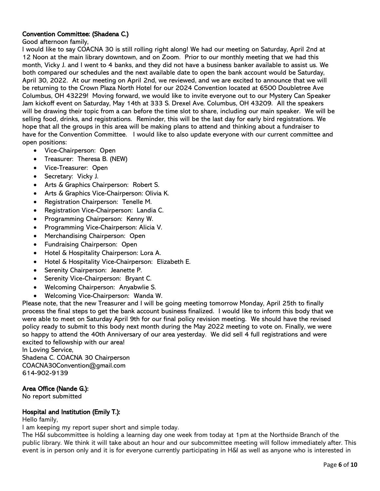### Convention Committee: (Shadena C.)

Good afternoon family,

I would like to say COACNA 30 is still rolling right along! We had our meeting on Saturday, April 2nd at 12 Noon at the main library downtown, and on Zoom. Prior to our monthly meeting that we had this month, Vicky J. and I went to 4 banks, and they did not have a business banker available to assist us. We both compared our schedules and the next available date to open the bank account would be Saturday, April 30, 2022. At our meeting on April 2nd, we reviewed, and we are excited to announce that we will be returning to the Crown Plaza North Hotel for our 2024 Convention located at 6500 Doubletree Ave Columbus, OH 43229! Moving forward, we would like to invite everyone out to our Mystery Can Speaker Jam kickoff event on Saturday, May 14th at 333 S. Drexel Ave. Columbus, OH 43209. All the speakers will be drawing their topic from a can before the time slot to share, including our main speaker. We will be selling food, drinks, and registrations. Reminder, this will be the last day for early bird registrations. We hope that all the groups in this area will be making plans to attend and thinking about a fundraiser to have for the Convention Committee. I would like to also update everyone with our current committee and open positions:

- Vice-Chairperson: Open
- Treasurer: Theresa B. (NEW)
- Vice-Treasurer: Open
- Secretary: Vicky J.
- Arts & Graphics Chairperson: Robert S.
- Arts & Graphics Vice-Chairperson: Olivia K.
- Registration Chairperson: Tenelle M.
- Registration Vice-Chairperson: Landia C.
- Programming Chairperson: Kenny W.
- Programming Vice-Chairperson: Alicia V.
- Merchandising Chairperson: Open
- Fundraising Chairperson: Open
- Hotel & Hospitality Chairperson: Lora A.
- Hotel & Hospitality Vice-Chairperson: Elizabeth E.
- Serenity Chairperson: Jeanette P.
- Serenity Vice-Chairperson: Bryant C.
- Welcoming Chairperson: Anyabwlie S.
- Welcoming Vice-Chairperson: Wanda W.

Please note, that the new Treasurer and I will be going meeting tomorrow Monday, April 25th to finally process the final steps to get the bank account business finalized. I would like to inform this body that we were able to meet on Saturday April 9th for our final policy revision meeting. We should have the revised policy ready to submit to this body next month during the May 2022 meeting to vote on. Finally, we were so happy to attend the 40th Anniversary of our area yesterday. We did sell 4 full registrations and were excited to fellowship with our area!

In Loving Service, Shadena C. COACNA 30 Chairperson COACNA30Convention@gmail.com 614-902-9139

### Area Office (Nande G.):

No report submitted

### Hospital and Institution (Emily T.):

Hello family,

I am keeping my report super short and simple today.

The H&I subcommittee is holding a learning day one week from today at 1pm at the Northside Branch of the public library. We think it will take about an hour and our subcommittee meeting will follow immediately after. This event is in person only and it is for everyone currently participating in H&I as well as anyone who is interested in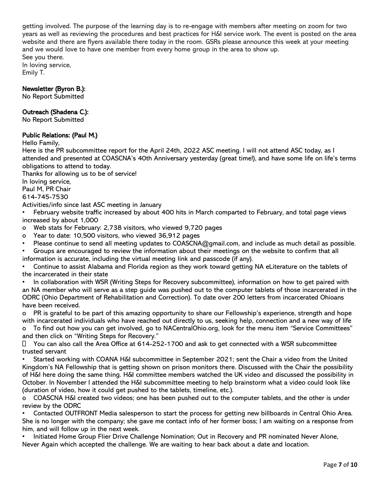getting involved. The purpose of the learning day is to re-engage with members after meeting on zoom for two years as well as reviewing the procedures and best practices for H&I service work. The event is posted on the area website and there are flyers available there today in the room. GSRs please announce this week at your meeting and we would love to have one member from every home group in the area to show up.

See you there.

In loving service, Emily T.

#### Newsletter (Byron B.):

No Report Submitted

#### Outreach (Shadena C.):

No Report Submitted

#### Public Relations: (Paul M.)

Hello Family,

Here is the PR subcommittee report for the April 24th, 2022 ASC meeting. I will not attend ASC today, as I attended and presented at COASCNA's 40th Anniversary yesterday (great time!), and have some life on life's terms obligations to attend to today.

Thanks for allowing us to be of service!

In loving service,

Paul M, PR Chair

614-745-7530

Activities/info since last ASC meeting in January

• February website traffic increased by about 400 hits in March comparted to February, and total page views increased by about 1,000

o Web stats for February: 2,738 visitors, who viewed 9,720 pages

- o Year to date: 10,500 visitors, who viewed 36,912 pages
- Please continue to send all meeting updates to COASCNA@gmail.com, and include as much detail as possible.
- Groups are encouraged to review the information about their meetings on the website to confirm that all information is accurate, including the virtual meeting link and passcode (if any).

• Continue to assist Alabama and Florida region as they work toward getting NA eLiterature on the tablets of the incarcerated in their state

• In collaboration with WSR (Writing Steps for Recovery subcommittee), information on how to get paired with an NA member who will serve as a step guide was pushed out to the computer tablets of those incarcerated in the ODRC (Ohio Department of Rehabilitation and Correction). To date over 200 letters from incarcerated Ohioans have been received.

o PR is grateful to be part of this amazing opportunity to share our Fellowship's experience, strength and hope with incarcerated individuals who have reached out directly to us, seeking help, connection and a new way of life

o To find out how you can get involved, go to NACentralOhio.org, look for the menu item "Service Committees" and then click on "Writing Steps for Recovery."

You can also call the Area Office at 614-252-1700 and ask to get connected with a WSR subcommittee П. trusted servant

• Started working with COANA H&I subcommittee in September 2021; sent the Chair a video from the United Kingdom's NA Fellowship that is getting shown on prison monitors there. Discussed with the Chair the possibility of H&I here doing the same thing. H&I committee members watched the UK video and discussed the possibility in October. In November I attended the H&I subcommittee meeting to help brainstorm what a video could look like (duration of video, how it could get pushed to the tablets, timeline, etc.).

o COASCNA H&I created two videos; one has been pushed out to the computer tablets, and the other is under review by the ODRC

• Contacted OUTFRONT Media salesperson to start the process for getting new billboards in Central Ohio Area. She is no longer with the company; she gave me contact info of her former boss; I am waiting on a response from him, and will follow up in the next week.

• Initiated Home Group Flier Drive Challenge Nomination; Out in Recovery and PR nominated Never Alone, Never Again which accepted the challenge. We are waiting to hear back about a date and location.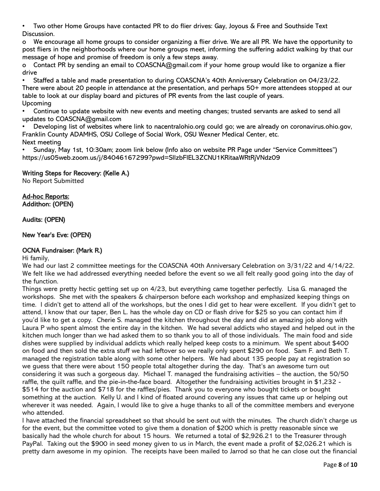• Two other Home Groups have contacted PR to do flier drives: Gay, Joyous & Free and Southside Text Discussion.

o We encourage all home groups to consider organizing a flier drive. We are all PR. We have the opportunity to post fliers in the neighborhoods where our home groups meet, informing the suffering addict walking by that our message of hope and promise of freedom is only a few steps away.

o Contact PR by sending an email to COASCNA@gmail.com if your home group would like to organize a flier drive

• Staffed a table and made presentation to during COASCNA's 40th Anniversary Celebration on 04/23/22. There were about 20 people in attendance at the presentation, and perhaps 50+ more attendees stopped at our table to look at our display board and pictures of PR events from the last couple of years. Upcoming

• Continue to update website with new events and meeting changes; trusted servants are asked to send all updates to COASCNA@gmail.com

• Developing list of websites where link to nacentralohio.org could go; we are already on coronavirus.ohio.gov, Franklin County ADAMHS, OSU College of Social Work, OSU Wexner Medical Center, etc. Next meeting

• Sunday, May 1st, 10:30am; zoom link below (Info also on website PR Page under "Service Committees") https://us05web.zoom.us/j/84046167299?pwd=SllzbFlEL3ZCNU1KRitaaWRtRjVNdz09

### Writing Steps for Recovery: (Kelle A.)

No Report Submitted

#### Ad-hoc Reports: Addithon: (OPEN)

Audits: (OPEN)

### New Year's Eve: (OPEN)

### OCNA Fundraiser: (Mark R.)

Hi family,

We had our last 2 committee meetings for the COASCNA 40th Anniversary Celebration on 3/31/22 and 4/14/22. We felt like we had addressed everything needed before the event so we all felt really good going into the day of the function.

Things were pretty hectic getting set up on 4/23, but everything came together perfectly. Lisa G. managed the workshops. She met with the speakers & chairperson before each workshop and emphasized keeping things on time. I didn't get to attend all of the workshops, but the ones I did get to hear were excellent. If you didn't get to attend, I know that our taper, Ben L. has the whole day on CD or flash drive for \$25 so you can contact him if you'd like to get a copy. Cherie S. managed the kitchen throughout the day and did an amazing job along with Laura P who spent almost the entire day in the kitchen. We had several addicts who stayed and helped out in the kitchen much longer than we had asked them to so thank you to all of those individuals. The main food and side dishes were supplied by individual addicts which really helped keep costs to a minimum. We spent about \$400 on food and then sold the extra stuff we had leftover so we really only spent \$290 on food. Sam F. and Beth T. managed the registration table along with some other helpers. We had about 135 people pay at registration so we guess that there were about 150 people total altogether during the day. That's an awesome turn out considering it was such a gorgeous day. Michael T. managed the fundraising activities – the auction, the 50/50 raffle, the quilt raffle, and the pie-in-the-face board. Altogether the fundraising activities brought in \$1,232 - \$514 for the auction and \$718 for the raffles/pies. Thank you to everyone who bought tickets or bought something at the auction. Kelly U. and I kind of floated around covering any issues that came up or helping out wherever it was needed. Again, I would like to give a huge thanks to all of the committee members and everyone who attended.

I have attached the financial spreadsheet so that should be sent out with the minutes. The church didn't charge us for the event, but the committee voted to give them a donation of \$200 which is pretty reasonable since we basically had the whole church for about 15 hours. We returned a total of \$2,926.21 to the Treasurer through PayPal. Taking out the \$900 in seed money given to us in March, the event made a profit of \$2,026.21 which is pretty darn awesome in my opinion. The receipts have been mailed to Jarrod so that he can close out the financial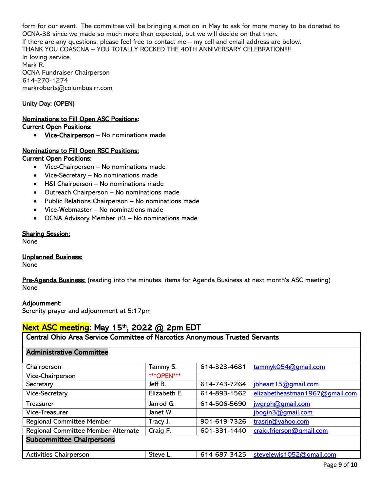form for our event. The committee will be bringing a motion in May to ask for more money to be donated to OCNA-38 since we made so much more than expected, but we will decide on that then. If there are any questions, please feel free to contact me – my cell and email address are below. THANK YOU COASCNA – YOU TOTALLY ROCKED THE 40TH ANNIVERSARY CELEBRATION!!!! In loving service, Mark R. OCNA Fundraiser Chairperson 614-270-1274 markroberts@columbus.rr.com

### Unity Day: (OPEN)

#### Nominations to Fill Open ASC Positions: Current Open Positions:

• Vice-Chairperson – No nominations made

#### Nominations to Fill Open RSC Positions: Current Open Positions:

- Vice-Chairperson No nominations made
- Vice-Secretary No nominations made
- H&I Chairperson No nominations made
- Outreach Chairperson No nominations made
- Public Relations Chairperson No nominations made
- Vice-Webmaster No nominations made
- OCNA Advisory Member #3 No nominations made

#### Sharing Session:

None

### Unplanned Business:

None

Pre-Agenda Business: (reading into the minutes, items for Agenda Business at next month's ASC meeting) None

#### Adjournment:

Serenity prayer and adjournment at 5:17pm

## Next ASC meeting: May 15<sup>th</sup>, 2022 @ 2pm EDT

| Central Ohio Area Service Committee of Narcotics Anonymous Trusted Servants |                   |              |                                |  |  |
|-----------------------------------------------------------------------------|-------------------|--------------|--------------------------------|--|--|
| <b>Administrative Committee</b>                                             |                   |              |                                |  |  |
| Chairperson                                                                 | Tammy S.          | 614-323-4681 | tammyk054@gmail.com            |  |  |
| Vice-Chairperson                                                            | <b>***OPEN***</b> |              |                                |  |  |
| Secretary                                                                   | Jeff B.           | 614-743-7264 | jbheart15@gmail.com            |  |  |
| <b>Vice-Secretary</b>                                                       | Elizabeth E.      | 614-893-1562 | elizabetheastman1967@gmail.com |  |  |
| Treasurer                                                                   | Jarrod G.         | 614-506-5690 | jwgrph@gmail.com               |  |  |
| <b>Vice-Treasurer</b>                                                       | Janet W.          |              | jbogin3@gmail.com              |  |  |
| <b>Regional Committee Member</b>                                            | Tracy J.          | 901-619-7326 | trasrir@yahoo.com              |  |  |
| Regional Committee Member Alternate                                         | Craig F.          | 601-331-1440 | craig.frierson@gmail.com       |  |  |
| <b>Subcommittee Chairpersons</b>                                            |                   |              |                                |  |  |
| <b>Activities Chairperson</b>                                               | Steve L.          | 614-687-3425 | stevelewis1052@gmail.com       |  |  |